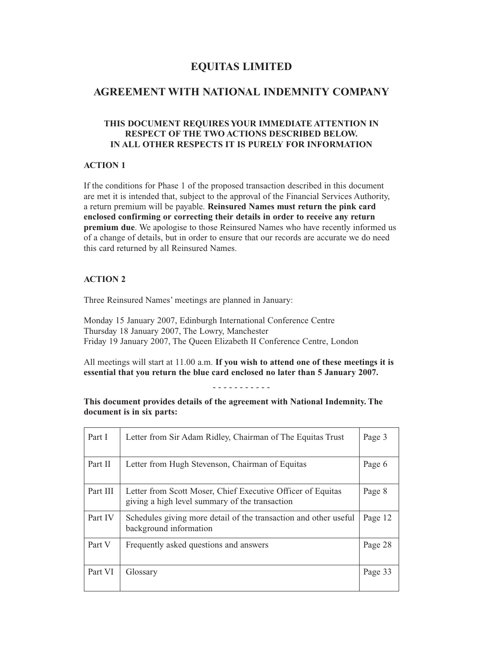### **EQUITAS LIMITED**

### **AGREEMENT WITH NATIONAL INDEMNITY COMPANY**

### **THIS DOCUMENT REQUIRES YOUR IMMEDIATE ATTENTION IN RESPECT OF THE TWO ACTIONS DESCRIBED BELOW. IN ALL OTHER RESPECTS IT IS PURELY FOR INFORMATION**

#### **ACTION 1**

If the conditions for Phase 1 of the proposed transaction described in this document are met it is intended that, subject to the approval of the Financial Services Authority, a return premium will be payable. **Reinsured Names must return the pink card enclosed confirming or correcting their details in order to receive any return premium due**. We apologise to those Reinsured Names who have recently informed us of a change of details, but in order to ensure that our records are accurate we do need this card returned by all Reinsured Names.

#### **ACTION 2**

Three Reinsured Names' meetings are planned in January:

Monday 15 January 2007, Edinburgh International Conference Centre Thursday 18 January 2007, The Lowry, Manchester Friday 19 January 2007, The Queen Elizabeth II Conference Centre, London

All meetings will start at 11.00 a.m. **If you wish to attend one of these meetings it is essential that you return the blue card enclosed no later than 5 January 2007.**

- - - - - - - - - - -

### **This document provides details of the agreement with National Indemnity. The document is in six parts:**

| Part I   | Letter from Sir Adam Ridley, Chairman of The Equitas Trust                                                    | Page 3  |
|----------|---------------------------------------------------------------------------------------------------------------|---------|
| Part II  | Letter from Hugh Stevenson, Chairman of Equitas                                                               | Page 6  |
| Part III | Letter from Scott Moser, Chief Executive Officer of Equitas<br>giving a high level summary of the transaction | Page 8  |
| Part IV  | Schedules giving more detail of the transaction and other useful<br>background information                    | Page 12 |
| Part V   | Frequently asked questions and answers                                                                        | Page 28 |
| Part VI  | Glossary                                                                                                      | Page 33 |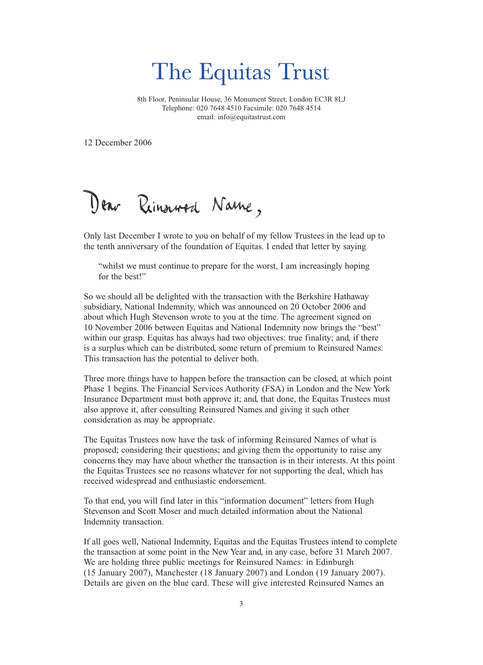# The Equitas Trust

8th Floor, Peninsular House, 36 Monument Street, London EC3R 8LJ Telephone: 020 7648 4510 Facsimile: 020 7648 4514 email: info@equitastrust.com

12 December 2006

Dear Ringword Name,

Only last December I wrote to you on behalf of my fellow Trustees in the lead up to the tenth anniversary of the foundation of Equitas. I ended that letter by saying

"whilst we must continue to prepare for the worst, I am increasingly hoping for the best!"

So we should all be delighted with the transaction with the Berkshire Hathaway subsidiary, National Indemnity, which was announced on 20 October 2006 and about which Hugh Stevenson wrote to you at the time. The agreement signed on 10 November 2006 between Equitas and National Indemnity now brings the "best" within our grasp. Equitas has always had two objectives: true finality; and, if there is a surplus which can be distributed, some return of premium to Reinsured Names. This transaction has the potential to deliver both.

Three more things have to happen before the transaction can be closed, at which point Phase 1 begins. The Financial Services Authority (FSA) in London and the New York Insurance Department must both approve it; and, that done, the Equitas Trustees must also approve it, after consulting Reinsured Names and giving it such other consideration as may be appropriate.

The Equitas Trustees now have the task of informing Reinsured Names of what is proposed; considering their questions; and giving them the opportunity to raise any concerns they may have about whether the transaction is in their interests. At this point the Equitas Trustees see no reasons whatever for not supporting the deal, which has received widespread and enthusiastic endorsement.

To that end, you will find later in this "information document" letters from Hugh Stevenson and Scott Moser and much detailed information about the National Indemnity transaction.

If all goes well, National Indemnity, Equitas and the Equitas Trustees intend to complete the transaction at some point in the New Year and, in any case, before 31 March 2007. We are holding three public meetings for Reinsured Names: in Edinburgh (15 January 2007), Manchester (18 January 2007) and London (19 January 2007). Details are given on the blue card. These will give interested Reinsured Names an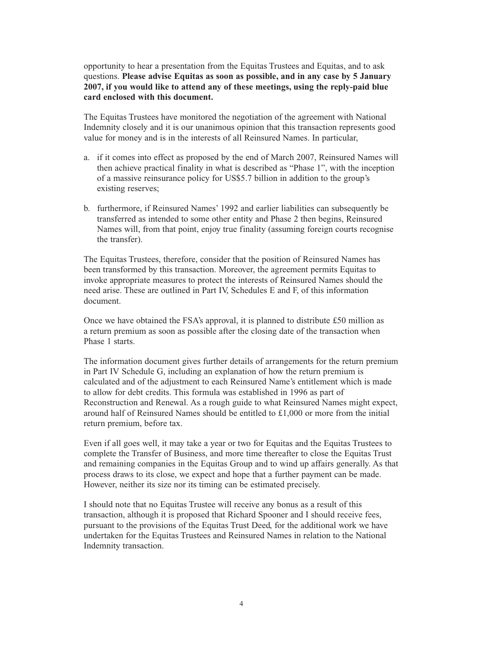opportunity to hear a presentation from the Equitas Trustees and Equitas, and to ask questions. **Please advise Equitas as soon as possible, and in any case by 5 January 2007, if you would like to attend any of these meetings, using the reply-paid blue card enclosed with this document.**

The Equitas Trustees have monitored the negotiation of the agreement with National Indemnity closely and it is our unanimous opinion that this transaction represents good value for money and is in the interests of all Reinsured Names. In particular,

- a. if it comes into effect as proposed by the end of March 2007, Reinsured Names will then achieve practical finality in what is described as "Phase 1", with the inception of a massive reinsurance policy for US\$5.7 billion in addition to the group's existing reserves;
- b. furthermore, if Reinsured Names' 1992 and earlier liabilities can subsequently be transferred as intended to some other entity and Phase 2 then begins, Reinsured Names will, from that point, enjoy true finality (assuming foreign courts recognise the transfer).

The Equitas Trustees, therefore, consider that the position of Reinsured Names has been transformed by this transaction. Moreover, the agreement permits Equitas to invoke appropriate measures to protect the interests of Reinsured Names should the need arise. These are outlined in Part IV, Schedules E and F, of this information document.

Once we have obtained the FSA's approval, it is planned to distribute £50 million as a return premium as soon as possible after the closing date of the transaction when Phase 1 starts.

The information document gives further details of arrangements for the return premium in Part IV Schedule G, including an explanation of how the return premium is calculated and of the adjustment to each Reinsured Name's entitlement which is made to allow for debt credits. This formula was established in 1996 as part of Reconstruction and Renewal. As a rough guide to what Reinsured Names might expect, around half of Reinsured Names should be entitled to £1,000 or more from the initial return premium, before tax.

Even if all goes well, it may take a year or two for Equitas and the Equitas Trustees to complete the Transfer of Business, and more time thereafter to close the Equitas Trust and remaining companies in the Equitas Group and to wind up affairs generally. As that process draws to its close, we expect and hope that a further payment can be made. However, neither its size nor its timing can be estimated precisely.

I should note that no Equitas Trustee will receive any bonus as a result of this transaction, although it is proposed that Richard Spooner and I should receive fees, pursuant to the provisions of the Equitas Trust Deed, for the additional work we have undertaken for the Equitas Trustees and Reinsured Names in relation to the National Indemnity transaction.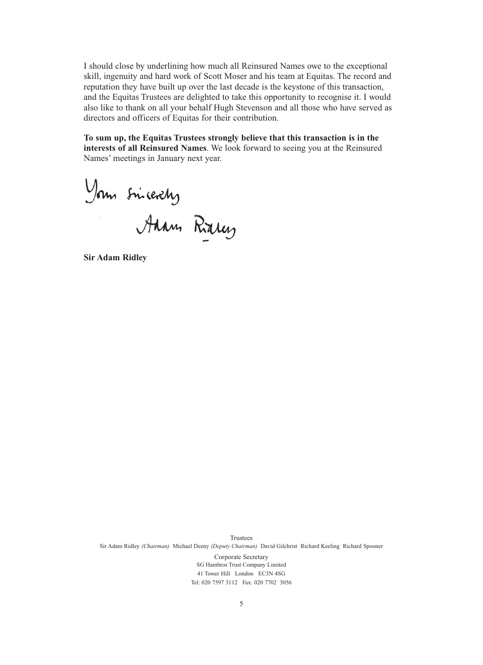I should close by underlining how much all Reinsured Names owe to the exceptional skill, ingenuity and hard work of Scott Moser and his team at Equitas. The record and reputation they have built up over the last decade is the keystone of this transaction, and the Equitas Trustees are delighted to take this opportunity to recognise it. I would also like to thank on all your behalf Hugh Stevenson and all those who have served as directors and officers of Equitas for their contribution.

**To sum up, the Equitas Trustees strongly believe that this transaction is in the interests of all Reinsured Names**. We look forward to seeing you at the Reinsured Names' meetings in January next year.

Your sincerely<br>Anne Raley

**Sir Adam Ridley**

Trustees Sir Adam Ridley *(Chairman)* Michael Deeny *(Deputy Chairman)* David Gilchrist Richard Keeling Richard Spooner Corporate Secretary SG Hambros Trust Company Limited 41 Tower Hill London EC3N 4SG Tel: 020 7597 3112 Fax: 020 7702 3056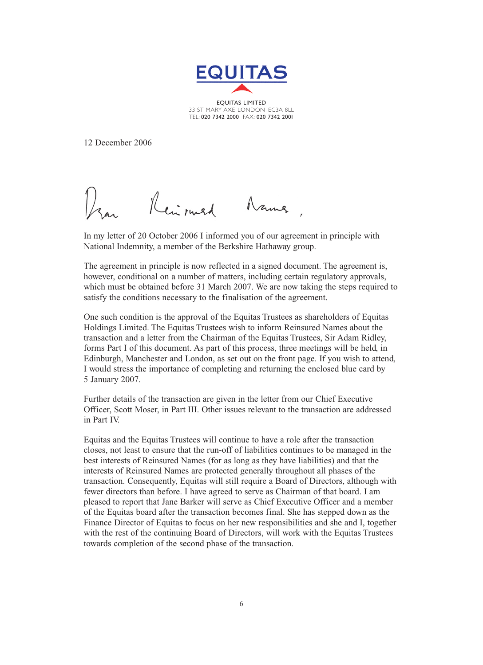

EQUITAS LIMITED 33 ST MARY AXE LONDON EC3A 8LL TEL: 020 7342 2000 FAX: 020 7342 2001

12 December 2006

Reimand Name

In my letter of 20 October 2006 I informed you of our agreement in principle with National Indemnity, a member of the Berkshire Hathaway group.

The agreement in principle is now reflected in a signed document. The agreement is, however, conditional on a number of matters, including certain regulatory approvals, which must be obtained before 31 March 2007. We are now taking the steps required to satisfy the conditions necessary to the finalisation of the agreement.

One such condition is the approval of the Equitas Trustees as shareholders of Equitas Holdings Limited. The Equitas Trustees wish to inform Reinsured Names about the transaction and a letter from the Chairman of the Equitas Trustees, Sir Adam Ridley, forms Part I of this document. As part of this process, three meetings will be held, in Edinburgh, Manchester and London, as set out on the front page. If you wish to attend, I would stress the importance of completing and returning the enclosed blue card by 5 January 2007.

Further details of the transaction are given in the letter from our Chief Executive Officer, Scott Moser, in Part III. Other issues relevant to the transaction are addressed in Part IV.

Equitas and the Equitas Trustees will continue to have a role after the transaction closes, not least to ensure that the run-off of liabilities continues to be managed in the best interests of Reinsured Names (for as long as they have liabilities) and that the interests of Reinsured Names are protected generally throughout all phases of the transaction. Consequently, Equitas will still require a Board of Directors, although with fewer directors than before. I have agreed to serve as Chairman of that board. I am pleased to report that Jane Barker will serve as Chief Executive Officer and a member of the Equitas board after the transaction becomes final. She has stepped down as the Finance Director of Equitas to focus on her new responsibilities and she and I, together with the rest of the continuing Board of Directors, will work with the Equitas Trustees towards completion of the second phase of the transaction.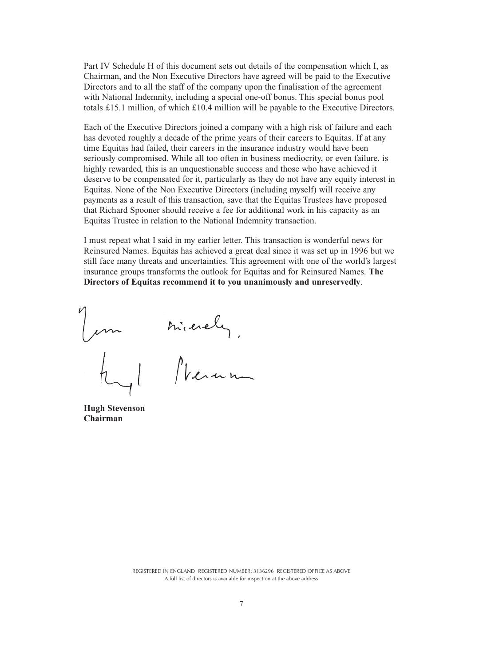Part IV Schedule H of this document sets out details of the compensation which I, as Chairman, and the Non Executive Directors have agreed will be paid to the Executive Directors and to all the staff of the company upon the finalisation of the agreement with National Indemnity, including a special one-off bonus. This special bonus pool totals £15.1 million, of which £10.4 million will be payable to the Executive Directors.

Each of the Executive Directors joined a company with a high risk of failure and each has devoted roughly a decade of the prime years of their careers to Equitas. If at any time Equitas had failed, their careers in the insurance industry would have been seriously compromised. While all too often in business mediocrity, or even failure, is highly rewarded, this is an unquestionable success and those who have achieved it deserve to be compensated for it, particularly as they do not have any equity interest in Equitas. None of the Non Executive Directors (including myself) will receive any payments as a result of this transaction, save that the Equitas Trustees have proposed that Richard Spooner should receive a fee for additional work in his capacity as an Equitas Trustee in relation to the National Indemnity transaction.

I must repeat what I said in my earlier letter. This transaction is wonderful news for Reinsured Names. Equitas has achieved a great deal since it was set up in 1996 but we still face many threats and uncertainties. This agreement with one of the world's largest insurance groups transforms the outlook for Equitas and for Reinsured Names. **The Directors of Equitas recommend it to you unanimously and unreservedly**.

mierely,

**Hugh Stevenson Chairman**

REGISTERED IN ENGLAND REGISTERED NUMBER: 3136296 REGISTERED OFFICE AS ABOVE A full list of directors is available for inspection at the above address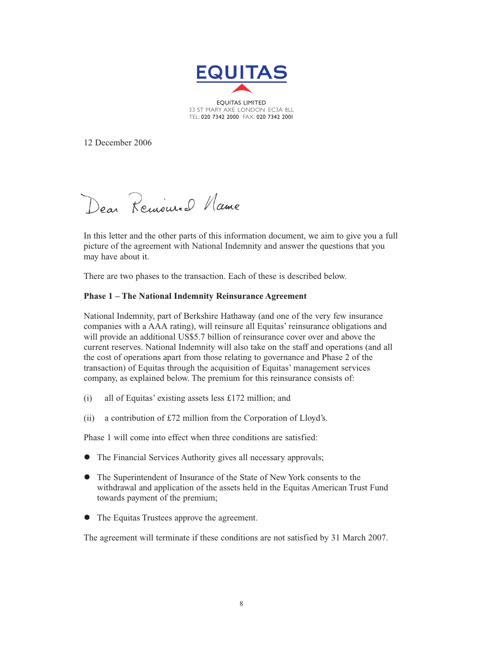

33 ST MARY AXE LONDON EC3A 8LL TEL: 020 7342 2000 FAX: 020 7342 2001

12 December 2006

Dear Remoured Name

In this letter and the other parts of this information document, we aim to give you a full picture of the agreement with National Indemnity and answer the questions that you may have about it.

There are two phases to the transaction. Each of these is described below.

### **Phase 1 – The National Indemnity Reinsurance Agreement**

National Indemnity, part of Berkshire Hathaway (and one of the very few insurance companies with a AAA rating), will reinsure all Equitas' reinsurance obligations and will provide an additional US\$5.7 billion of reinsurance cover over and above the current reserves. National Indemnity will also take on the staff and operations (and all the cost of operations apart from those relating to governance and Phase 2 of the transaction) of Equitas through the acquisition of Equitas' management services company, as explained below. The premium for this reinsurance consists of:

- (i) all of Equitas' existing assets less £172 million; and
- (ii) a contribution of £72 million from the Corporation of Lloyd's.

Phase 1 will come into effect when three conditions are satisfied:

- The Financial Services Authority gives all necessary approvals;
- The Superintendent of Insurance of the State of New York consents to the withdrawal and application of the assets held in the Equitas American Trust Fund towards payment of the premium;
- $\bullet$ The Equitas Trustees approve the agreement.

The agreement will terminate if these conditions are not satisfied by 31 March 2007.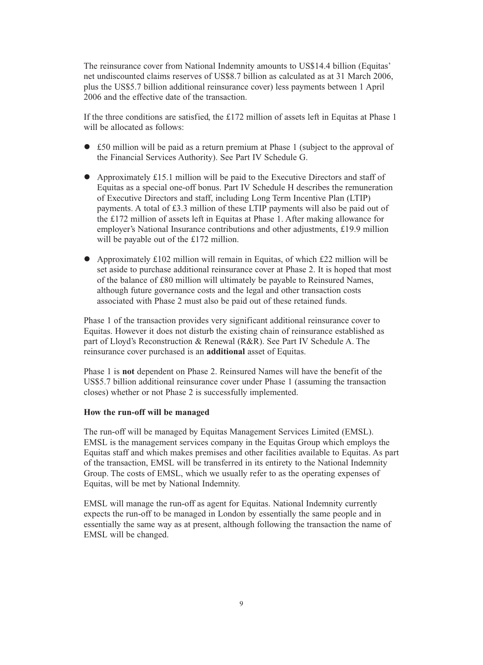The reinsurance cover from National Indemnity amounts to US\$14.4 billion (Equitas' net undiscounted claims reserves of US\$8.7 billion as calculated as at 31 March 2006, plus the US\$5.7 billion additional reinsurance cover) less payments between 1 April 2006 and the effective date of the transaction.

If the three conditions are satisfied, the £172 million of assets left in Equitas at Phase 1 will be allocated as follows:

- £50 million will be paid as a return premium at Phase 1 (subject to the approval of the Financial Services Authority). See Part IV Schedule G.
- Approximately £15.1 million will be paid to the Executive Directors and staff of Equitas as a special one-off bonus. Part IV Schedule H describes the remuneration of Executive Directors and staff, including Long Term Incentive Plan (LTIP) payments. A total of £3.3 million of these LTIP payments will also be paid out of the £172 million of assets left in Equitas at Phase 1. After making allowance for employer's National Insurance contributions and other adjustments, £19.9 million will be payable out of the £172 million.
- Approximately £102 million will remain in Equitas, of which £22 million will be set aside to purchase additional reinsurance cover at Phase 2. It is hoped that most of the balance of £80 million will ultimately be payable to Reinsured Names, although future governance costs and the legal and other transaction costs associated with Phase 2 must also be paid out of these retained funds.

Phase 1 of the transaction provides very significant additional reinsurance cover to Equitas. However it does not disturb the existing chain of reinsurance established as part of Lloyd's Reconstruction & Renewal (R&R). See Part IV Schedule A. The reinsurance cover purchased is an **additional** asset of Equitas.

Phase 1 is **not** dependent on Phase 2. Reinsured Names will have the benefit of the US\$5.7 billion additional reinsurance cover under Phase 1 (assuming the transaction closes) whether or not Phase 2 is successfully implemented.

### **How the run-off will be managed**

The run-off will be managed by Equitas Management Services Limited (EMSL). EMSL is the management services company in the Equitas Group which employs the Equitas staff and which makes premises and other facilities available to Equitas. As part of the transaction, EMSL will be transferred in its entirety to the National Indemnity Group. The costs of EMSL, which we usually refer to as the operating expenses of Equitas, will be met by National Indemnity.

EMSL will manage the run-off as agent for Equitas. National Indemnity currently expects the run-off to be managed in London by essentially the same people and in essentially the same way as at present, although following the transaction the name of EMSL will be changed.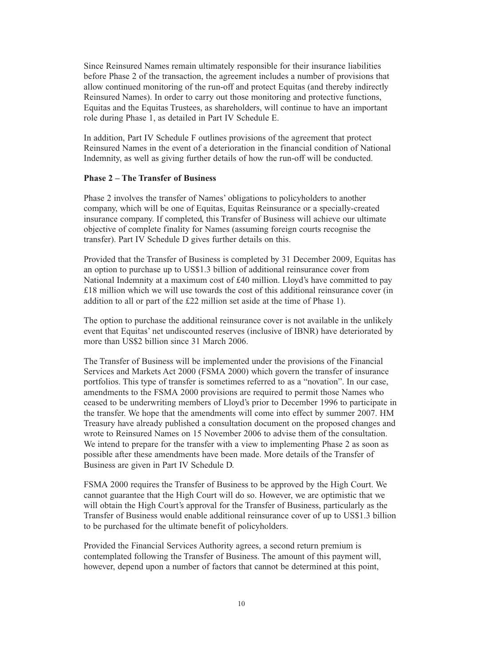Since Reinsured Names remain ultimately responsible for their insurance liabilities before Phase 2 of the transaction, the agreement includes a number of provisions that allow continued monitoring of the run-off and protect Equitas (and thereby indirectly Reinsured Names). In order to carry out those monitoring and protective functions, Equitas and the Equitas Trustees, as shareholders, will continue to have an important role during Phase 1, as detailed in Part IV Schedule E.

In addition, Part IV Schedule F outlines provisions of the agreement that protect Reinsured Names in the event of a deterioration in the financial condition of National Indemnity, as well as giving further details of how the run-off will be conducted.

### **Phase 2 – The Transfer of Business**

Phase 2 involves the transfer of Names' obligations to policyholders to another company, which will be one of Equitas, Equitas Reinsurance or a specially-created insurance company. If completed, this Transfer of Business will achieve our ultimate objective of complete finality for Names (assuming foreign courts recognise the transfer). Part IV Schedule D gives further details on this.

Provided that the Transfer of Business is completed by 31 December 2009, Equitas has an option to purchase up to US\$1.3 billion of additional reinsurance cover from National Indemnity at a maximum cost of £40 million. Lloyd's have committed to pay £18 million which we will use towards the cost of this additional reinsurance cover (in addition to all or part of the £22 million set aside at the time of Phase 1).

The option to purchase the additional reinsurance cover is not available in the unlikely event that Equitas' net undiscounted reserves (inclusive of IBNR) have deteriorated by more than US\$2 billion since 31 March 2006.

The Transfer of Business will be implemented under the provisions of the Financial Services and Markets Act 2000 (FSMA 2000) which govern the transfer of insurance portfolios. This type of transfer is sometimes referred to as a "novation". In our case, amendments to the FSMA 2000 provisions are required to permit those Names who ceased to be underwriting members of Lloyd's prior to December 1996 to participate in the transfer. We hope that the amendments will come into effect by summer 2007. HM Treasury have already published a consultation document on the proposed changes and wrote to Reinsured Names on 15 November 2006 to advise them of the consultation. We intend to prepare for the transfer with a view to implementing Phase 2 as soon as possible after these amendments have been made. More details of the Transfer of Business are given in Part IV Schedule D.

FSMA 2000 requires the Transfer of Business to be approved by the High Court. We cannot guarantee that the High Court will do so. However, we are optimistic that we will obtain the High Court's approval for the Transfer of Business, particularly as the Transfer of Business would enable additional reinsurance cover of up to US\$1.3 billion to be purchased for the ultimate benefit of policyholders.

Provided the Financial Services Authority agrees, a second return premium is contemplated following the Transfer of Business. The amount of this payment will, however, depend upon a number of factors that cannot be determined at this point,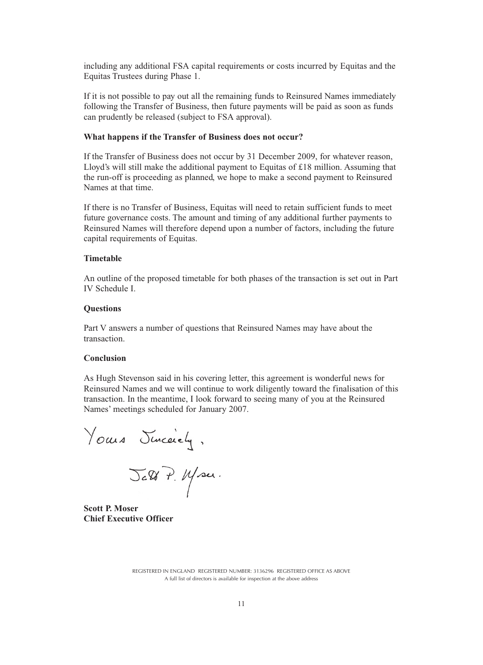including any additional FSA capital requirements or costs incurred by Equitas and the Equitas Trustees during Phase 1.

If it is not possible to pay out all the remaining funds to Reinsured Names immediately following the Transfer of Business, then future payments will be paid as soon as funds can prudently be released (subject to FSA approval).

#### **What happens if the Transfer of Business does not occur?**

If the Transfer of Business does not occur by 31 December 2009, for whatever reason, Lloyd's will still make the additional payment to Equitas of £18 million. Assuming that the run-off is proceeding as planned, we hope to make a second payment to Reinsured Names at that time.

If there is no Transfer of Business, Equitas will need to retain sufficient funds to meet future governance costs. The amount and timing of any additional further payments to Reinsured Names will therefore depend upon a number of factors, including the future capital requirements of Equitas.

#### **Timetable**

An outline of the proposed timetable for both phases of the transaction is set out in Part IV Schedule I.

#### **Questions**

Part V answers a number of questions that Reinsured Names may have about the transaction.

#### **Conclusion**

As Hugh Stevenson said in his covering letter, this agreement is wonderful news for Reinsured Names and we will continue to work diligently toward the finalisation of this transaction. In the meantime, I look forward to seeing many of you at the Reinsured Names' meetings scheduled for January 2007.

Yours Junceiely,

**Scott P. Moser Chief Executive Officer**

REGISTERED IN ENGLAND REGISTERED NUMBER: 3136296 REGISTERED OFFICE AS ABOVE A full list of directors is available for inspection at the above address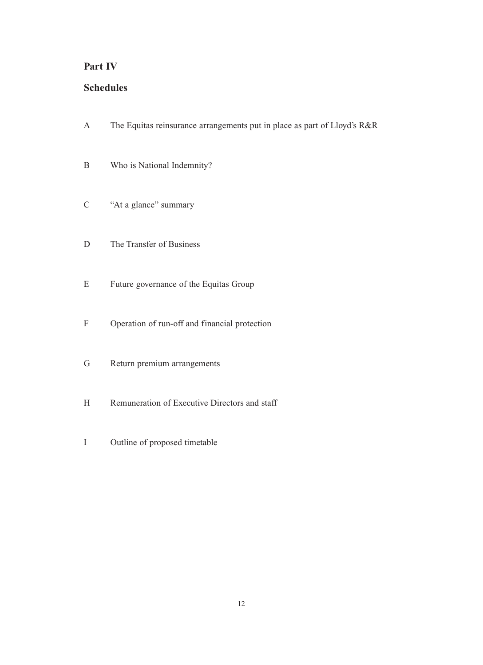### **Part IV**

## **Schedules**

- A The Equitas reinsurance arrangements put in place as part of Lloyd's R&R
- B Who is National Indemnity?
- C "At a glance" summary
- D The Transfer of Business
- E Future governance of the Equitas Group
- F Operation of run-off and financial protection
- G Return premium arrangements
- H Remuneration of Executive Directors and staff
- I Outline of proposed timetable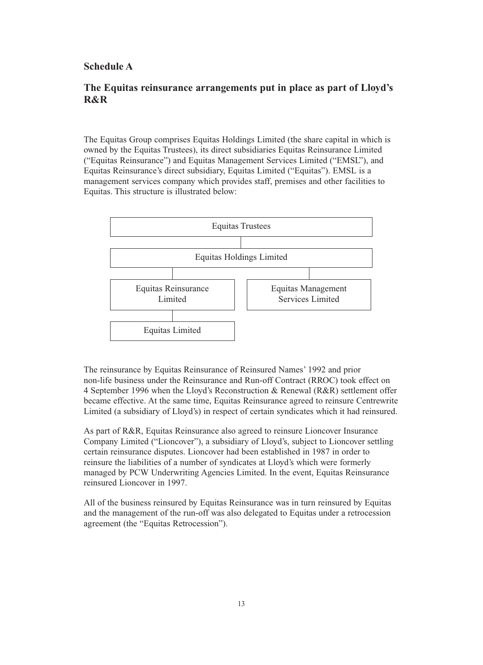### **Schedule A**

### **The Equitas reinsurance arrangements put in place as part of Lloyd's R&R**

The Equitas Group comprises Equitas Holdings Limited (the share capital in which is owned by the Equitas Trustees), its direct subsidiaries Equitas Reinsurance Limited ("Equitas Reinsurance") and Equitas Management Services Limited ("EMSL"), and Equitas Reinsurance's direct subsidiary, Equitas Limited ("Equitas"). EMSL is a management services company which provides staff, premises and other facilities to Equitas. This structure is illustrated below:



The reinsurance by Equitas Reinsurance of Reinsured Names' 1992 and prior non-life business under the Reinsurance and Run-off Contract (RROC) took effect on 4 September 1996 when the Lloyd's Reconstruction & Renewal (R&R) settlement offer became effective. At the same time, Equitas Reinsurance agreed to reinsure Centrewrite Limited (a subsidiary of Lloyd's) in respect of certain syndicates which it had reinsured.

As part of R&R, Equitas Reinsurance also agreed to reinsure Lioncover Insurance Company Limited ("Lioncover"), a subsidiary of Lloyd's, subject to Lioncover settling certain reinsurance disputes. Lioncover had been established in 1987 in order to reinsure the liabilities of a number of syndicates at Lloyd's which were formerly managed by PCW Underwriting Agencies Limited. In the event, Equitas Reinsurance reinsured Lioncover in 1997.

All of the business reinsured by Equitas Reinsurance was in turn reinsured by Equitas and the management of the run-off was also delegated to Equitas under a retrocession agreement (the "Equitas Retrocession").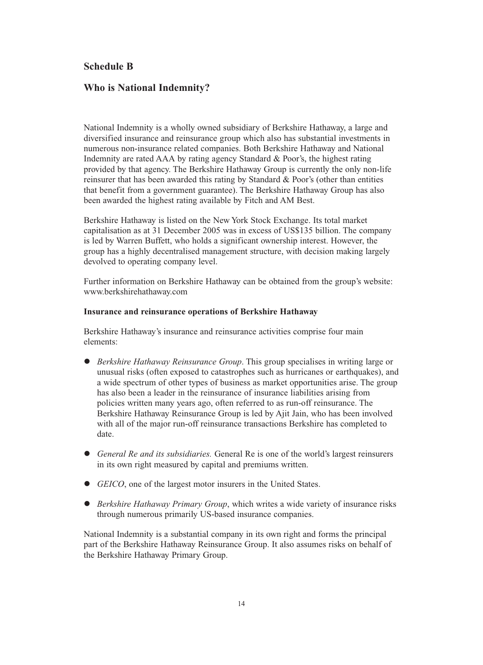### **Schedule B**

### **Who is National Indemnity?**

National Indemnity is a wholly owned subsidiary of Berkshire Hathaway, a large and diversified insurance and reinsurance group which also has substantial investments in numerous non-insurance related companies. Both Berkshire Hathaway and National Indemnity are rated AAA by rating agency Standard & Poor's, the highest rating provided by that agency. The Berkshire Hathaway Group is currently the only non-life reinsurer that has been awarded this rating by Standard & Poor's (other than entities that benefit from a government guarantee). The Berkshire Hathaway Group has also been awarded the highest rating available by Fitch and AM Best.

Berkshire Hathaway is listed on the New York Stock Exchange. Its total market capitalisation as at 31 December 2005 was in excess of US\$135 billion. The company is led by Warren Buffett, who holds a significant ownership interest. However, the group has a highly decentralised management structure, with decision making largely devolved to operating company level.

Further information on Berkshire Hathaway can be obtained from the group's website: www.berkshirehathaway.com

#### **Insurance and reinsurance operations of Berkshire Hathaway**

Berkshire Hathaway's insurance and reinsurance activities comprise four main elements:

- *Berkshire Hathaway Reinsurance Group*. This group specialises in writing large or unusual risks (often exposed to catastrophes such as hurricanes or earthquakes), and a wide spectrum of other types of business as market opportunities arise. The group has also been a leader in the reinsurance of insurance liabilities arising from policies written many years ago, often referred to as run-off reinsurance. The Berkshire Hathaway Reinsurance Group is led by Ajit Jain, who has been involved with all of the major run-off reinsurance transactions Berkshire has completed to date.
- *General Re and its subsidiaries.* General Re is one of the world's largest reinsurers in its own right measured by capital and premiums written.
- *GEICO*, one of the largest motor insurers in the United States.
- *Berkshire Hathaway Primary Group*, which writes a wide variety of insurance risks through numerous primarily US-based insurance companies.

National Indemnity is a substantial company in its own right and forms the principal part of the Berkshire Hathaway Reinsurance Group. It also assumes risks on behalf of the Berkshire Hathaway Primary Group.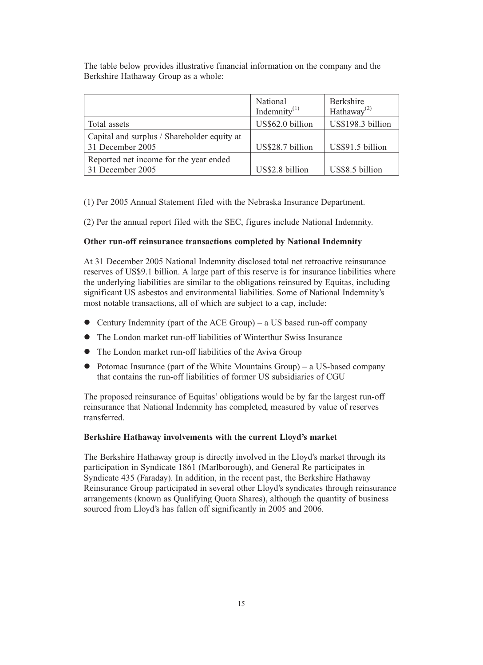The table below provides illustrative financial information on the company and the Berkshire Hathaway Group as a whole:

|                                                                 | National<br>Indemnity <sup>(1)</sup> | <b>Berkshire</b><br>Hathaway <sup>(2)</sup> |
|-----------------------------------------------------------------|--------------------------------------|---------------------------------------------|
| Total assets                                                    | US\$62.0 billion                     | US\$198.3 billion                           |
| Capital and surplus / Shareholder equity at<br>31 December 2005 | US\$28.7 billion                     | US\$91.5 billion                            |
| Reported net income for the year ended<br>31 December 2005      | US\$2.8 billion                      | US\$8.5 billion                             |

(1) Per 2005 Annual Statement filed with the Nebraska Insurance Department.

(2) Per the annual report filed with the SEC, figures include National Indemnity.

### **Other run-off reinsurance transactions completed by National Indemnity**

At 31 December 2005 National Indemnity disclosed total net retroactive reinsurance reserves of US\$9.1 billion. A large part of this reserve is for insurance liabilities where the underlying liabilities are similar to the obligations reinsured by Equitas, including significant US asbestos and environmental liabilities. Some of National Indemnity's most notable transactions, all of which are subject to a cap, include:

- Century Indemnity (part of the ACE Group) a US based run-off company
- The London market run-off liabilities of Winterthur Swiss Insurance
- The London market run-off liabilities of the Aviva Group
- Potomac Insurance (part of the White Mountains Group) a US-based company that contains the run-off liabilities of former US subsidiaries of CGU

The proposed reinsurance of Equitas' obligations would be by far the largest run-off reinsurance that National Indemnity has completed, measured by value of reserves transferred.

#### **Berkshire Hathaway involvements with the current Lloyd's market**

The Berkshire Hathaway group is directly involved in the Lloyd's market through its participation in Syndicate 1861 (Marlborough), and General Re participates in Syndicate 435 (Faraday). In addition, in the recent past, the Berkshire Hathaway Reinsurance Group participated in several other Lloyd's syndicates through reinsurance arrangements (known as Qualifying Quota Shares), although the quantity of business sourced from Lloyd's has fallen off significantly in 2005 and 2006.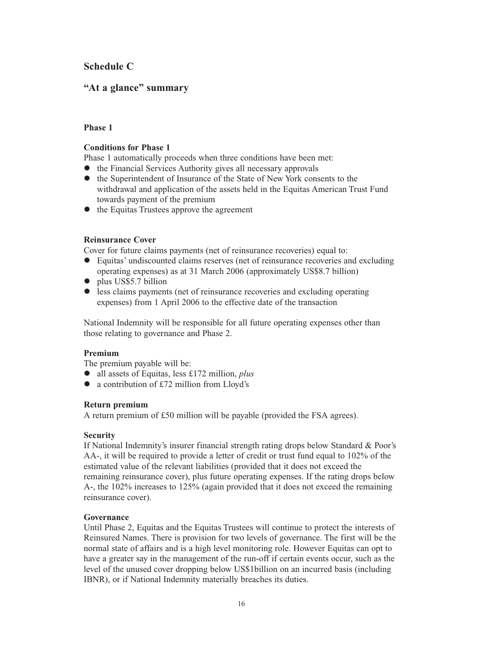### **Schedule C**

### **"At a glance" summary**

### **Phase 1**

### **Conditions for Phase 1**

Phase 1 automatically proceeds when three conditions have been met:

- the Financial Services Authority gives all necessary approvals
- the Superintendent of Insurance of the State of New York consents to the withdrawal and application of the assets held in the Equitas American Trust Fund towards payment of the premium
- the Equitas Trustees approve the agreement

### **Reinsurance Cover**

Cover for future claims payments (net of reinsurance recoveries) equal to:

- $\bullet$  Equitas' undiscounted claims reserves (net of reinsurance recoveries and excluding operating expenses) as at 31 March 2006 (approximately US\$8.7 billion)
- $\bullet$  plus US\$5.7 billion
- less claims payments (net of reinsurance recoveries and excluding operating expenses) from 1 April 2006 to the effective date of the transaction

National Indemnity will be responsible for all future operating expenses other than those relating to governance and Phase 2.

### **Premium**

The premium payable will be:

- all assets of Equitas, less £172 million, *plus*
- a contribution of £72 million from Lloyd's

### **Return premium**

A return premium of £50 million will be payable (provided the FSA agrees).

### **Security**

If National Indemnity's insurer financial strength rating drops below Standard & Poor's AA-, it will be required to provide a letter of credit or trust fund equal to 102% of the estimated value of the relevant liabilities (provided that it does not exceed the remaining reinsurance cover), plus future operating expenses. If the rating drops below A-, the 102% increases to 125% (again provided that it does not exceed the remaining reinsurance cover).

### **Governance**

Until Phase 2, Equitas and the Equitas Trustees will continue to protect the interests of Reinsured Names. There is provision for two levels of governance. The first will be the normal state of affairs and is a high level monitoring role. However Equitas can opt to have a greater say in the management of the run-off if certain events occur, such as the level of the unused cover dropping below US\$1billion on an incurred basis (including IBNR), or if National Indemnity materially breaches its duties.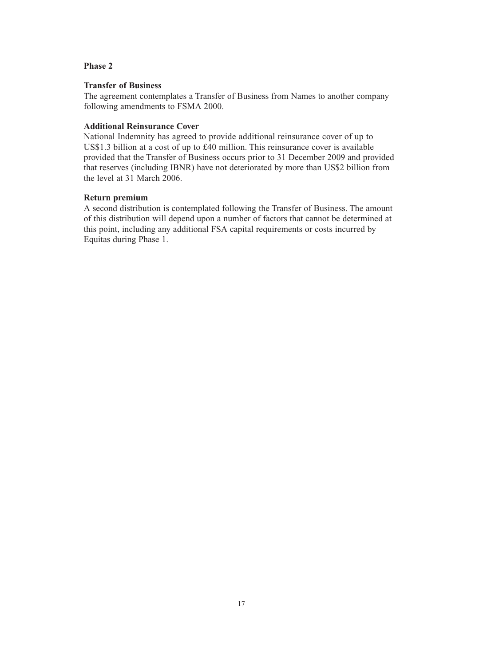### **Phase 2**

### **Transfer of Business**

The agreement contemplates a Transfer of Business from Names to another company following amendments to FSMA 2000.

### **Additional Reinsurance Cover**

National Indemnity has agreed to provide additional reinsurance cover of up to US\$1.3 billion at a cost of up to £40 million. This reinsurance cover is available provided that the Transfer of Business occurs prior to 31 December 2009 and provided that reserves (including IBNR) have not deteriorated by more than US\$2 billion from the level at 31 March 2006.

#### **Return premium**

A second distribution is contemplated following the Transfer of Business. The amount of this distribution will depend upon a number of factors that cannot be determined at this point, including any additional FSA capital requirements or costs incurred by Equitas during Phase 1.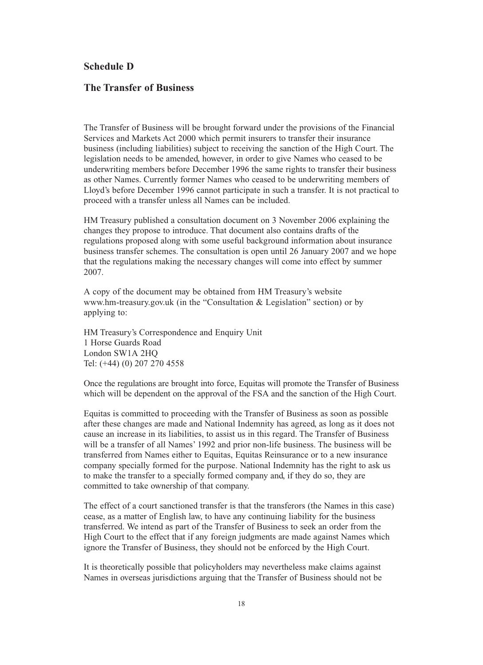### **Schedule D**

### **The Transfer of Business**

The Transfer of Business will be brought forward under the provisions of the Financial Services and Markets Act 2000 which permit insurers to transfer their insurance business (including liabilities) subject to receiving the sanction of the High Court. The legislation needs to be amended, however, in order to give Names who ceased to be underwriting members before December 1996 the same rights to transfer their business as other Names. Currently former Names who ceased to be underwriting members of Lloyd's before December 1996 cannot participate in such a transfer. It is not practical to proceed with a transfer unless all Names can be included.

HM Treasury published a consultation document on 3 November 2006 explaining the changes they propose to introduce. That document also contains drafts of the regulations proposed along with some useful background information about insurance business transfer schemes. The consultation is open until 26 January 2007 and we hope that the regulations making the necessary changes will come into effect by summer 2007.

A copy of the document may be obtained from HM Treasury's website www.hm-treasury.gov.uk (in the "Consultation & Legislation" section) or by applying to:

HM Treasury's Correspondence and Enquiry Unit 1 Horse Guards Road London SW1A 2HQ Tel: (+44) (0) 207 270 4558

Once the regulations are brought into force, Equitas will promote the Transfer of Business which will be dependent on the approval of the FSA and the sanction of the High Court.

Equitas is committed to proceeding with the Transfer of Business as soon as possible after these changes are made and National Indemnity has agreed, as long as it does not cause an increase in its liabilities, to assist us in this regard. The Transfer of Business will be a transfer of all Names' 1992 and prior non-life business. The business will be transferred from Names either to Equitas, Equitas Reinsurance or to a new insurance company specially formed for the purpose. National Indemnity has the right to ask us to make the transfer to a specially formed company and, if they do so, they are committed to take ownership of that company.

The effect of a court sanctioned transfer is that the transferors (the Names in this case) cease, as a matter of English law, to have any continuing liability for the business transferred. We intend as part of the Transfer of Business to seek an order from the High Court to the effect that if any foreign judgments are made against Names which ignore the Transfer of Business, they should not be enforced by the High Court.

It is theoretically possible that policyholders may nevertheless make claims against Names in overseas jurisdictions arguing that the Transfer of Business should not be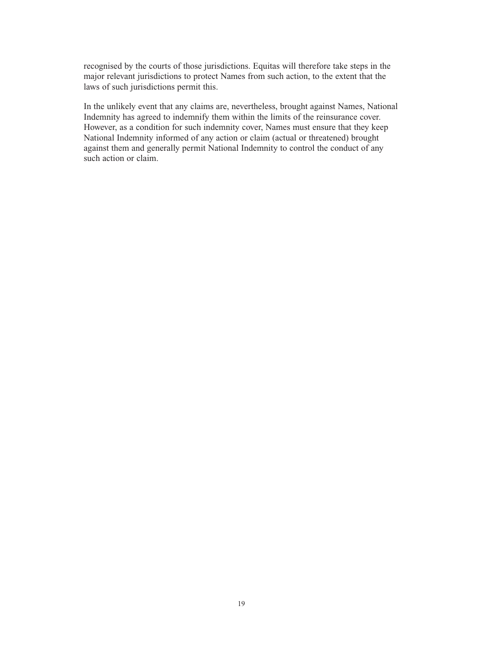recognised by the courts of those jurisdictions. Equitas will therefore take steps in the major relevant jurisdictions to protect Names from such action, to the extent that the laws of such jurisdictions permit this.

In the unlikely event that any claims are, nevertheless, brought against Names, National Indemnity has agreed to indemnify them within the limits of the reinsurance cover. However, as a condition for such indemnity cover, Names must ensure that they keep National Indemnity informed of any action or claim (actual or threatened) brought against them and generally permit National Indemnity to control the conduct of any such action or claim.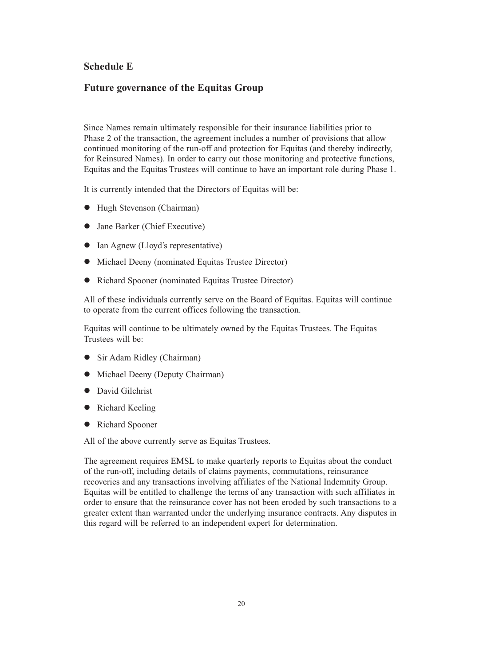### **Schedule E**

### **Future governance of the Equitas Group**

Since Names remain ultimately responsible for their insurance liabilities prior to Phase 2 of the transaction, the agreement includes a number of provisions that allow continued monitoring of the run-off and protection for Equitas (and thereby indirectly, for Reinsured Names). In order to carry out those monitoring and protective functions, Equitas and the Equitas Trustees will continue to have an important role during Phase 1.

It is currently intended that the Directors of Equitas will be:

- $\bullet$  Hugh Stevenson (Chairman)
- Jane Barker (Chief Executive)
- Ian Agnew (Lloyd's representative)
- $\bullet$  Michael Deeny (nominated Equitas Trustee Director)
- Richard Spooner (nominated Equitas Trustee Director)

All of these individuals currently serve on the Board of Equitas. Equitas will continue to operate from the current offices following the transaction.

Equitas will continue to be ultimately owned by the Equitas Trustees. The Equitas Trustees will be:

- Sir Adam Ridley (Chairman)
- $\bullet$  Michael Deeny (Deputy Chairman)
- · David Gilchrist
- Richard Keeling
- Richard Spooner

All of the above currently serve as Equitas Trustees.

The agreement requires EMSL to make quarterly reports to Equitas about the conduct of the run-off, including details of claims payments, commutations, reinsurance recoveries and any transactions involving affiliates of the National Indemnity Group. Equitas will be entitled to challenge the terms of any transaction with such affiliates in order to ensure that the reinsurance cover has not been eroded by such transactions to a greater extent than warranted under the underlying insurance contracts. Any disputes in this regard will be referred to an independent expert for determination.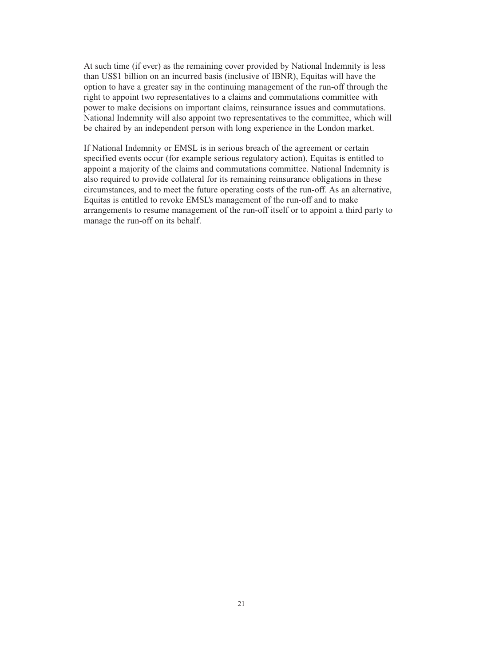At such time (if ever) as the remaining cover provided by National Indemnity is less than US\$1 billion on an incurred basis (inclusive of IBNR), Equitas will have the option to have a greater say in the continuing management of the run-off through the right to appoint two representatives to a claims and commutations committee with power to make decisions on important claims, reinsurance issues and commutations. National Indemnity will also appoint two representatives to the committee, which will be chaired by an independent person with long experience in the London market.

If National Indemnity or EMSL is in serious breach of the agreement or certain specified events occur (for example serious regulatory action), Equitas is entitled to appoint a majority of the claims and commutations committee. National Indemnity is also required to provide collateral for its remaining reinsurance obligations in these circumstances, and to meet the future operating costs of the run-off. As an alternative, Equitas is entitled to revoke EMSL's management of the run-off and to make arrangements to resume management of the run-off itself or to appoint a third party to manage the run-off on its behalf.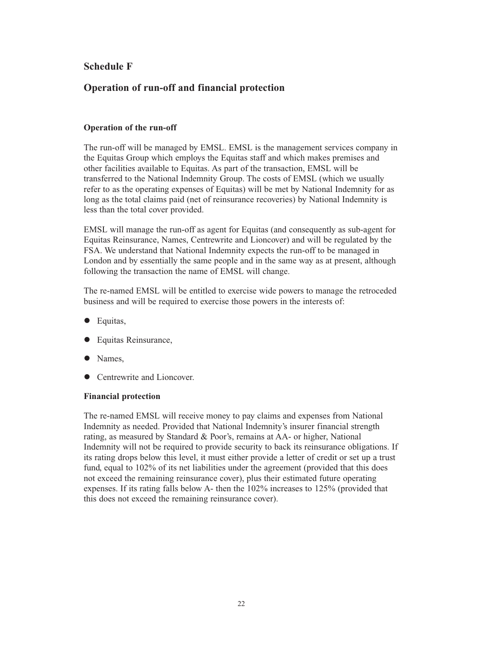### **Schedule F**

### **Operation of run-off and financial protection**

### **Operation of the run-off**

The run-off will be managed by EMSL. EMSL is the management services company in the Equitas Group which employs the Equitas staff and which makes premises and other facilities available to Equitas. As part of the transaction, EMSL will be transferred to the National Indemnity Group. The costs of EMSL (which we usually refer to as the operating expenses of Equitas) will be met by National Indemnity for as long as the total claims paid (net of reinsurance recoveries) by National Indemnity is less than the total cover provided.

EMSL will manage the run-off as agent for Equitas (and consequently as sub-agent for Equitas Reinsurance, Names, Centrewrite and Lioncover) and will be regulated by the FSA. We understand that National Indemnity expects the run-off to be managed in London and by essentially the same people and in the same way as at present, although following the transaction the name of EMSL will change.

The re-named EMSL will be entitled to exercise wide powers to manage the retroceded business and will be required to exercise those powers in the interests of:

- **·** Equitas,
- Equitas Reinsurance,
- Names,
- Centrewrite and Lioncover.

#### **Financial protection**

The re-named EMSL will receive money to pay claims and expenses from National Indemnity as needed. Provided that National Indemnity's insurer financial strength rating, as measured by Standard & Poor's, remains at AA- or higher, National Indemnity will not be required to provide security to back its reinsurance obligations. If its rating drops below this level, it must either provide a letter of credit or set up a trust fund, equal to 102% of its net liabilities under the agreement (provided that this does not exceed the remaining reinsurance cover), plus their estimated future operating expenses. If its rating falls below A- then the 102% increases to 125% (provided that this does not exceed the remaining reinsurance cover).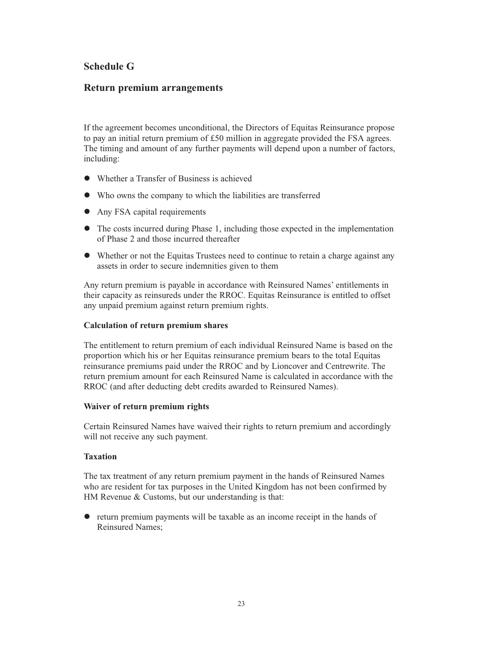### **Schedule G**

### **Return premium arrangements**

If the agreement becomes unconditional, the Directors of Equitas Reinsurance propose to pay an initial return premium of £50 million in aggregate provided the FSA agrees. The timing and amount of any further payments will depend upon a number of factors, including:

- Whether a Transfer of Business is achieved
- Who owns the company to which the liabilities are transferred
- Any FSA capital requirements
- The costs incurred during Phase 1, including those expected in the implementation of Phase 2 and those incurred thereafter
- Whether or not the Equitas Trustees need to continue to retain a charge against any assets in order to secure indemnities given to them

Any return premium is payable in accordance with Reinsured Names' entitlements in their capacity as reinsureds under the RROC. Equitas Reinsurance is entitled to offset any unpaid premium against return premium rights.

#### **Calculation of return premium shares**

The entitlement to return premium of each individual Reinsured Name is based on the proportion which his or her Equitas reinsurance premium bears to the total Equitas reinsurance premiums paid under the RROC and by Lioncover and Centrewrite. The return premium amount for each Reinsured Name is calculated in accordance with the RROC (and after deducting debt credits awarded to Reinsured Names).

#### **Waiver of return premium rights**

Certain Reinsured Names have waived their rights to return premium and accordingly will not receive any such payment.

#### **Taxation**

The tax treatment of any return premium payment in the hands of Reinsured Names who are resident for tax purposes in the United Kingdom has not been confirmed by HM Revenue & Customs, but our understanding is that:

- return premium payments will be taxable as an income receipt in the hands of Reinsured Names;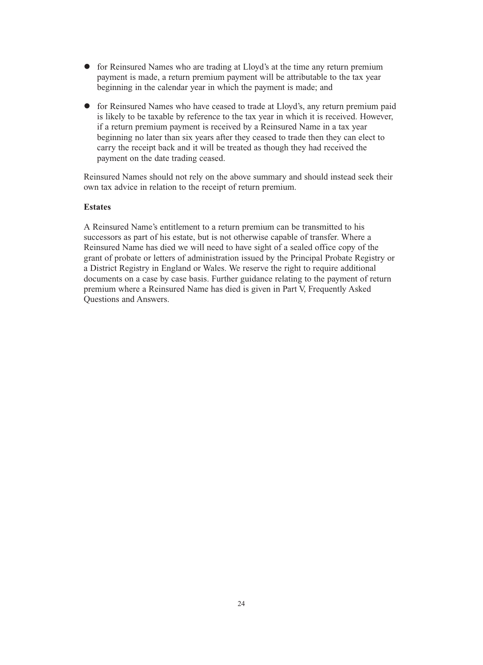- for Reinsured Names who are trading at Lloyd's at the time any return premium payment is made, a return premium payment will be attributable to the tax year beginning in the calendar year in which the payment is made; and
- for Reinsured Names who have ceased to trade at Lloyd's, any return premium paid is likely to be taxable by reference to the tax year in which it is received. However, if a return premium payment is received by a Reinsured Name in a tax year beginning no later than six years after they ceased to trade then they can elect to carry the receipt back and it will be treated as though they had received the payment on the date trading ceased.

Reinsured Names should not rely on the above summary and should instead seek their own tax advice in relation to the receipt of return premium.

#### **Estates**

A Reinsured Name's entitlement to a return premium can be transmitted to his successors as part of his estate, but is not otherwise capable of transfer. Where a Reinsured Name has died we will need to have sight of a sealed office copy of the grant of probate or letters of administration issued by the Principal Probate Registry or a District Registry in England or Wales. We reserve the right to require additional documents on a case by case basis. Further guidance relating to the payment of return premium where a Reinsured Name has died is given in Part V, Frequently Asked Questions and Answers.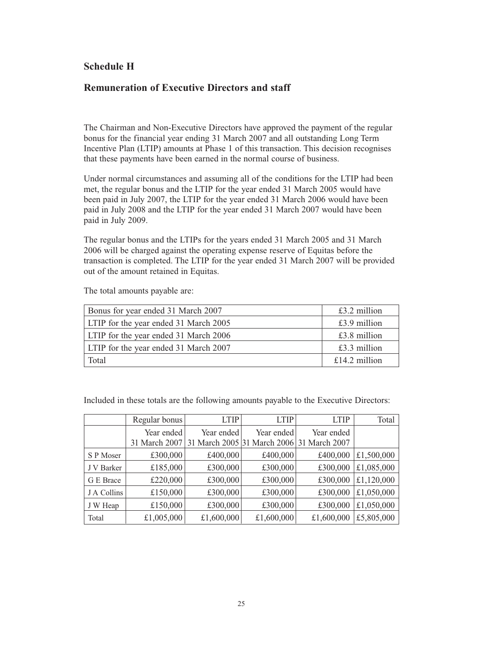### **Schedule H**

### **Remuneration of Executive Directors and staff**

The Chairman and Non-Executive Directors have approved the payment of the regular bonus for the financial year ending 31 March 2007 and all outstanding Long Term Incentive Plan (LTIP) amounts at Phase 1 of this transaction. This decision recognises that these payments have been earned in the normal course of business.

Under normal circumstances and assuming all of the conditions for the LTIP had been met, the regular bonus and the LTIP for the year ended 31 March 2005 would have been paid in July 2007, the LTIP for the year ended 31 March 2006 would have been paid in July 2008 and the LTIP for the year ended 31 March 2007 would have been paid in July 2009.

The regular bonus and the LTIPs for the years ended 31 March 2005 and 31 March 2006 will be charged against the operating expense reserve of Equitas before the transaction is completed. The LTIP for the year ended 31 March 2007 will be provided out of the amount retained in Equitas.

| Bonus for year ended 31 March 2007    | $£3.2$ million |
|---------------------------------------|----------------|
| LTIP for the year ended 31 March 2005 | $£3.9$ million |
| LTIP for the year ended 31 March 2006 | $£3.8$ million |
| LTIP for the year ended 31 March 2007 | $£3.3$ million |
| Total                                 | £14.2 million  |

The total amounts payable are:

Included in these totals are the following amounts payable to the Executive Directors:

|             | Regular bonus               | <b>LTIP</b> | <b>LTIP</b>                                             | <b>LTIP</b> | Total      |
|-------------|-----------------------------|-------------|---------------------------------------------------------|-------------|------------|
|             | Year ended<br>31 March 2007 | Year ended  | Year ended<br>31 March 2005 31 March 2006 31 March 2007 | Year ended  |            |
| S P Moser   | £300,000                    | £400,000    | £400,000                                                | £400,000    | £1,500,000 |
| J V Barker  | £185,000                    | £300,000    | £300,000                                                | £300,000    | £1,085,000 |
| G E Brace   | £220,000                    | £300,000    | £300,000                                                | £300,000    | £1,120,000 |
| J A Collins | £150,000                    | £300,000    | £300,000                                                | £300,000    | £1,050,000 |
| J W Heap    | £150,000                    | £300,000    | £300,000                                                | £300,000    | £1,050,000 |
| Total       | £1,005,000                  | £1,600,000  | £1,600,000                                              | £1,600,000  | £5,805,000 |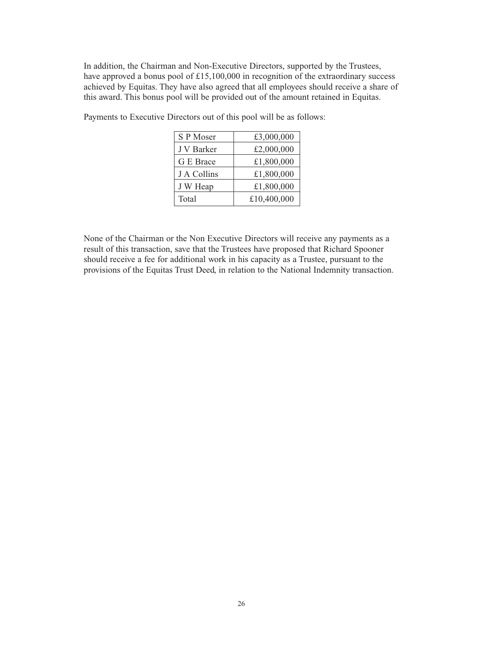In addition, the Chairman and Non-Executive Directors, supported by the Trustees, have approved a bonus pool of £15,100,000 in recognition of the extraordinary success achieved by Equitas. They have also agreed that all employees should receive a share of this award. This bonus pool will be provided out of the amount retained in Equitas.

| Payments to Executive Directors out of this pool will be as follows: |                                    |            |  |
|----------------------------------------------------------------------|------------------------------------|------------|--|
|                                                                      | $\overline{\phantom{a}}$ S P Moser | £3,000,000 |  |

| S P Moser   | £3,000,000  |
|-------------|-------------|
| J V Barker  | £2,000,000  |
| G E Brace   | £1,800,000  |
| J A Collins | £1,800,000  |
| J W Heap    | £1,800,000  |
| Total       | £10,400,000 |

None of the Chairman or the Non Executive Directors will receive any payments as a result of this transaction, save that the Trustees have proposed that Richard Spooner should receive a fee for additional work in his capacity as a Trustee, pursuant to the provisions of the Equitas Trust Deed, in relation to the National Indemnity transaction.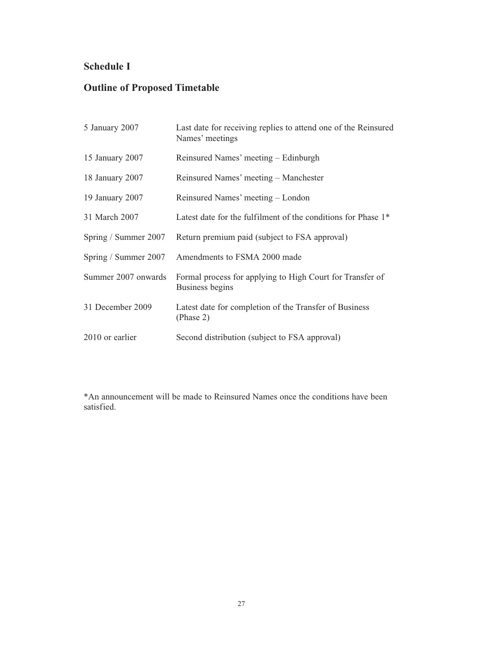## **Schedule I**

# **Outline of Proposed Timetable**

| 5 January 2007       | Last date for receiving replies to attend one of the Reinsured<br>Names' meetings |
|----------------------|-----------------------------------------------------------------------------------|
| 15 January 2007      | Reinsured Names' meeting – Edinburgh                                              |
| 18 January 2007      | Reinsured Names' meeting – Manchester                                             |
| 19 January 2007      | Reinsured Names' meeting – London                                                 |
| 31 March 2007        | Latest date for the fulfilment of the conditions for Phase 1 <sup>*</sup>         |
| Spring / Summer 2007 | Return premium paid (subject to FSA approval)                                     |
| Spring / Summer 2007 | Amendments to FSMA 2000 made                                                      |
| Summer 2007 onwards  | Formal process for applying to High Court for Transfer of<br>Business begins      |
| 31 December 2009     | Latest date for completion of the Transfer of Business<br>(Phase 2)               |
| 2010 or earlier      | Second distribution (subject to FSA approval)                                     |

\*An announcement will be made to Reinsured Names once the conditions have been satisfied.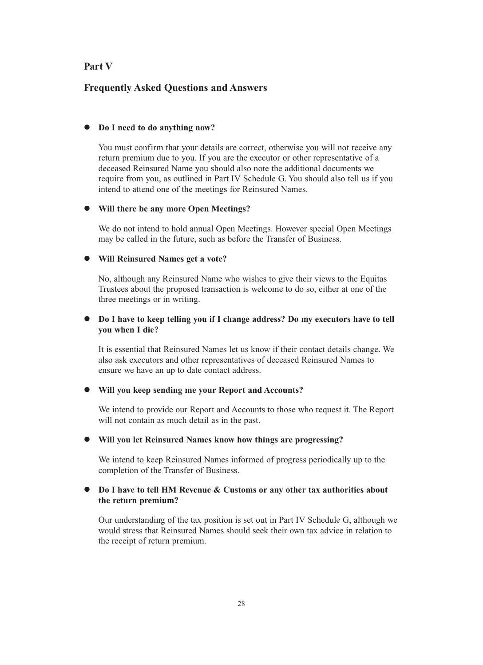### **Part V**

### **Frequently Asked Questions and Answers**

### - **Do I need to do anything now?**

You must confirm that your details are correct, otherwise you will not receive any return premium due to you. If you are the executor or other representative of a deceased Reinsured Name you should also note the additional documents we require from you, as outlined in Part IV Schedule G. You should also tell us if you intend to attend one of the meetings for Reinsured Names.

### - **Will there be any more Open Meetings?**

We do not intend to hold annual Open Meetings. However special Open Meetings may be called in the future, such as before the Transfer of Business.

### - **Will Reinsured Names get a vote?**

No, although any Reinsured Name who wishes to give their views to the Equitas Trustees about the proposed transaction is welcome to do so, either at one of the three meetings or in writing.

#### $\bullet$  **Do I have to keep telling you if I change address? Do my executors have to tell you when I die?**

It is essential that Reinsured Names let us know if their contact details change. We also ask executors and other representatives of deceased Reinsured Names to ensure we have an up to date contact address.

### - **Will you keep sending me your Report and Accounts?**

We intend to provide our Report and Accounts to those who request it. The Report will not contain as much detail as in the past.

#### - **Will you let Reinsured Names know how things are progressing?**

We intend to keep Reinsured Names informed of progress periodically up to the completion of the Transfer of Business.

### **• Do I have to tell HM Revenue & Customs or any other tax authorities about the return premium?**

Our understanding of the tax position is set out in Part IV Schedule G, although we would stress that Reinsured Names should seek their own tax advice in relation to the receipt of return premium.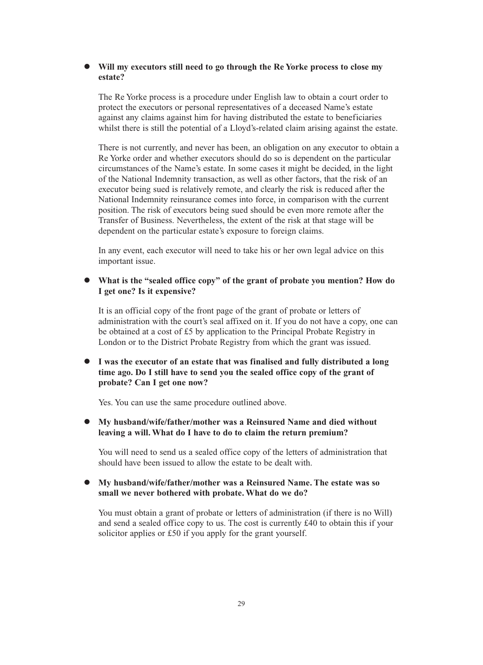### - **Will my executors still need to go through the Re Yorke process to close my estate?**

The Re Yorke process is a procedure under English law to obtain a court order to protect the executors or personal representatives of a deceased Name's estate against any claims against him for having distributed the estate to beneficiaries whilst there is still the potential of a Lloyd's-related claim arising against the estate.

There is not currently, and never has been, an obligation on any executor to obtain a Re Yorke order and whether executors should do so is dependent on the particular circumstances of the Name's estate. In some cases it might be decided, in the light of the National Indemnity transaction, as well as other factors, that the risk of an executor being sued is relatively remote, and clearly the risk is reduced after the National Indemnity reinsurance comes into force, in comparison with the current position. The risk of executors being sued should be even more remote after the Transfer of Business. Nevertheless, the extent of the risk at that stage will be dependent on the particular estate's exposure to foreign claims.

In any event, each executor will need to take his or her own legal advice on this important issue.

#### - **What is the "sealed office copy" of the grant of probate you mention? How do I get one? Is it expensive?**

It is an official copy of the front page of the grant of probate or letters of administration with the court's seal affixed on it. If you do not have a copy, one can be obtained at a cost of £5 by application to the Principal Probate Registry in London or to the District Probate Registry from which the grant was issued.

### - **I was the executor of an estate that was finalised and fully distributed a long time ago. Do I still have to send you the sealed office copy of the grant of probate? Can I get one now?**

Yes. You can use the same procedure outlined above.

### - **My husband/wife/father/mother was a Reinsured Name and died without leaving a will. What do I have to do to claim the return premium?**

You will need to send us a sealed office copy of the letters of administration that should have been issued to allow the estate to be dealt with.

### - **My husband/wife/father/mother was a Reinsured Name. The estate was so small we never bothered with probate. What do we do?**

You must obtain a grant of probate or letters of administration (if there is no Will) and send a sealed office copy to us. The cost is currently £40 to obtain this if your solicitor applies or £50 if you apply for the grant yourself.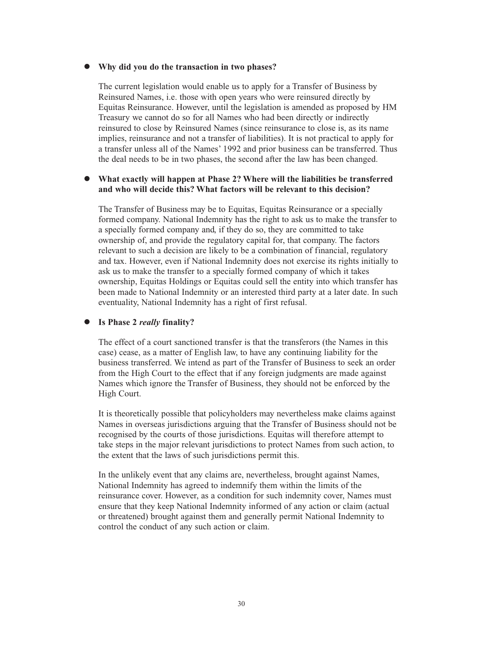### - **Why did you do the transaction in two phases?**

The current legislation would enable us to apply for a Transfer of Business by Reinsured Names, i.e. those with open years who were reinsured directly by Equitas Reinsurance. However, until the legislation is amended as proposed by HM Treasury we cannot do so for all Names who had been directly or indirectly reinsured to close by Reinsured Names (since reinsurance to close is, as its name implies, reinsurance and not a transfer of liabilities). It is not practical to apply for a transfer unless all of the Names' 1992 and prior business can be transferred. Thus the deal needs to be in two phases, the second after the law has been changed.

### - **What exactly will happen at Phase 2? Where will the liabilities be transferred and who will decide this? What factors will be relevant to this decision?**

The Transfer of Business may be to Equitas, Equitas Reinsurance or a specially formed company. National Indemnity has the right to ask us to make the transfer to a specially formed company and, if they do so, they are committed to take ownership of, and provide the regulatory capital for, that company. The factors relevant to such a decision are likely to be a combination of financial, regulatory and tax. However, even if National Indemnity does not exercise its rights initially to ask us to make the transfer to a specially formed company of which it takes ownership, Equitas Holdings or Equitas could sell the entity into which transfer has been made to National Indemnity or an interested third party at a later date. In such eventuality, National Indemnity has a right of first refusal.

#### $\bullet$ **Is Phase 2** *really* **finality?**

The effect of a court sanctioned transfer is that the transferors (the Names in this case) cease, as a matter of English law, to have any continuing liability for the business transferred. We intend as part of the Transfer of Business to seek an order from the High Court to the effect that if any foreign judgments are made against Names which ignore the Transfer of Business, they should not be enforced by the High Court.

It is theoretically possible that policyholders may nevertheless make claims against Names in overseas jurisdictions arguing that the Transfer of Business should not be recognised by the courts of those jurisdictions. Equitas will therefore attempt to take steps in the major relevant jurisdictions to protect Names from such action, to the extent that the laws of such jurisdictions permit this.

In the unlikely event that any claims are, nevertheless, brought against Names, National Indemnity has agreed to indemnify them within the limits of the reinsurance cover. However, as a condition for such indemnity cover, Names must ensure that they keep National Indemnity informed of any action or claim (actual or threatened) brought against them and generally permit National Indemnity to control the conduct of any such action or claim.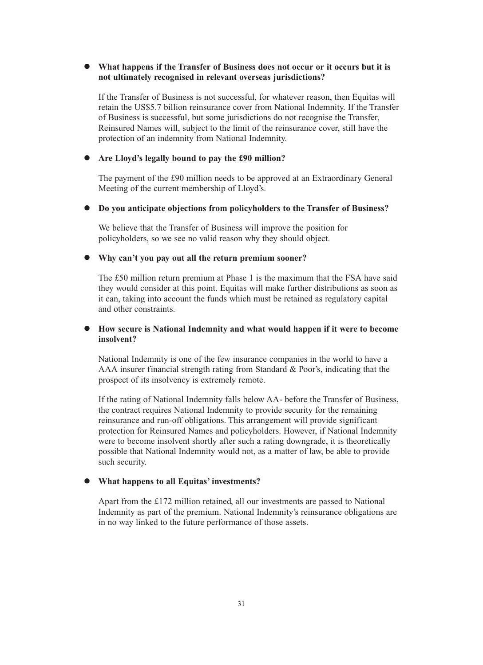### - **What happens if the Transfer of Business does not occur or it occurs but it is not ultimately recognised in relevant overseas jurisdictions?**

If the Transfer of Business is not successful, for whatever reason, then Equitas will retain the US\$5.7 billion reinsurance cover from National Indemnity. If the Transfer of Business is successful, but some jurisdictions do not recognise the Transfer, Reinsured Names will, subject to the limit of the reinsurance cover, still have the protection of an indemnity from National Indemnity.

### - **Are Lloyd's legally bound to pay the £90 million?**

The payment of the £90 million needs to be approved at an Extraordinary General Meeting of the current membership of Lloyd's.

### - **Do you anticipate objections from policyholders to the Transfer of Business?**

We believe that the Transfer of Business will improve the position for policyholders, so we see no valid reason why they should object.

### - **Why can't you pay out all the return premium sooner?**

The £50 million return premium at Phase 1 is the maximum that the FSA have said they would consider at this point. Equitas will make further distributions as soon as it can, taking into account the funds which must be retained as regulatory capital and other constraints.

### - **How secure is National Indemnity and what would happen if it were to become insolvent?**

National Indemnity is one of the few insurance companies in the world to have a AAA insurer financial strength rating from Standard & Poor's, indicating that the prospect of its insolvency is extremely remote.

If the rating of National Indemnity falls below AA- before the Transfer of Business, the contract requires National Indemnity to provide security for the remaining reinsurance and run-off obligations. This arrangement will provide significant protection for Reinsured Names and policyholders. However, if National Indemnity were to become insolvent shortly after such a rating downgrade, it is theoretically possible that National Indemnity would not, as a matter of law, be able to provide such security.

### - **What happens to all Equitas' investments?**

Apart from the £172 million retained, all our investments are passed to National Indemnity as part of the premium. National Indemnity's reinsurance obligations are in no way linked to the future performance of those assets.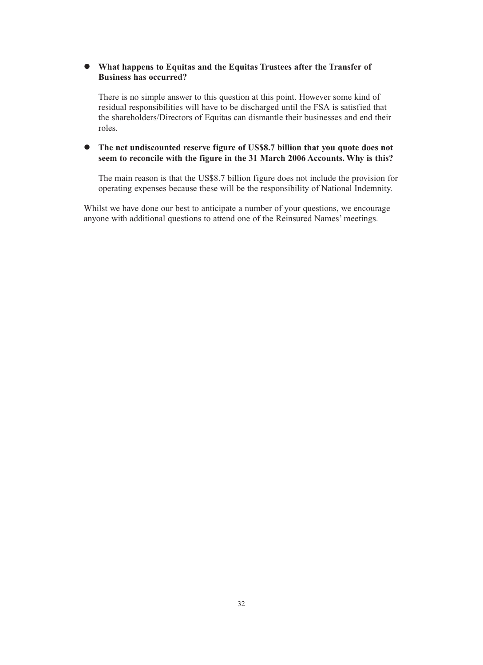### - **What happens to Equitas and the Equitas Trustees after the Transfer of Business has occurred?**

There is no simple answer to this question at this point. However some kind of residual responsibilities will have to be discharged until the FSA is satisfied that the shareholders/Directors of Equitas can dismantle their businesses and end their roles.

### - **The net undiscounted reserve figure of US\$8.7 billion that you quote does not seem to reconcile with the figure in the 31 March 2006 Accounts. Why is this?**

The main reason is that the US\$8.7 billion figure does not include the provision for operating expenses because these will be the responsibility of National Indemnity.

Whilst we have done our best to anticipate a number of your questions, we encourage anyone with additional questions to attend one of the Reinsured Names' meetings.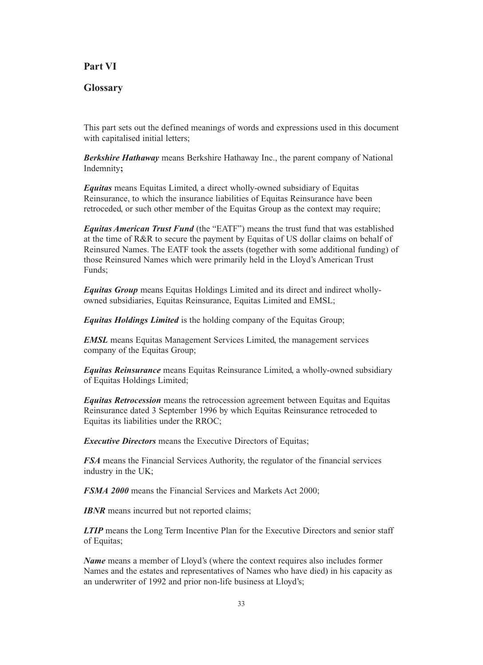### **Part VI**

### **Glossary**

This part sets out the defined meanings of words and expressions used in this document with capitalised initial letters;

*Berkshire Hathaway* means Berkshire Hathaway Inc., the parent company of National Indemnity**;**

*Equitas* means Equitas Limited, a direct wholly-owned subsidiary of Equitas Reinsurance, to which the insurance liabilities of Equitas Reinsurance have been retroceded, or such other member of the Equitas Group as the context may require;

*Equitas American Trust Fund* (the "EATF") means the trust fund that was established at the time of R&R to secure the payment by Equitas of US dollar claims on behalf of Reinsured Names. The EATF took the assets (together with some additional funding) of those Reinsured Names which were primarily held in the Lloyd's American Trust Funds;

*Equitas Group* means Equitas Holdings Limited and its direct and indirect whollyowned subsidiaries, Equitas Reinsurance, Equitas Limited and EMSL;

*Equitas Holdings Limited* is the holding company of the Equitas Group;

*EMSL* means Equitas Management Services Limited, the management services company of the Equitas Group;

*Equitas Reinsurance* means Equitas Reinsurance Limited, a wholly-owned subsidiary of Equitas Holdings Limited;

*Equitas Retrocession* means the retrocession agreement between Equitas and Equitas Reinsurance dated 3 September 1996 by which Equitas Reinsurance retroceded to Equitas its liabilities under the RROC;

*Executive Directors* means the Executive Directors of Equitas;

*FSA* means the Financial Services Authority, the regulator of the financial services industry in the UK;

*FSMA 2000* means the Financial Services and Markets Act 2000;

*IBNR* means incurred but not reported claims;

*LTIP* means the Long Term Incentive Plan for the Executive Directors and senior staff of Equitas;

*Name* means a member of Lloyd's (where the context requires also includes former Names and the estates and representatives of Names who have died) in his capacity as an underwriter of 1992 and prior non-life business at Lloyd's;